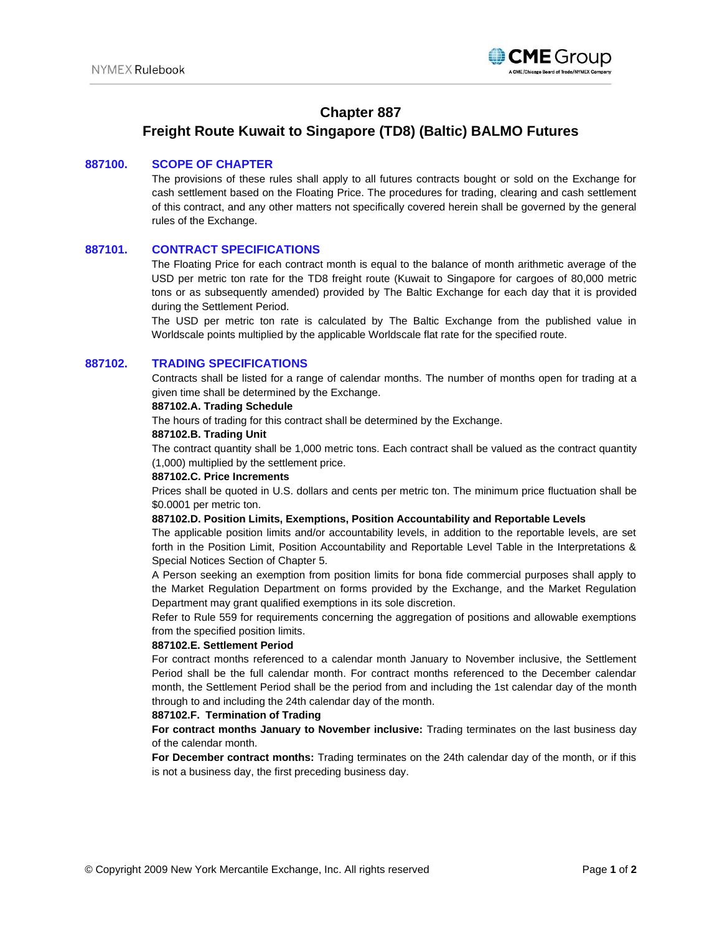

## **Chapter 887**

# **Freight Route Kuwait to Singapore (TD8) (Baltic) BALMO Futures**

## **887100. SCOPE OF CHAPTER**

The provisions of these rules shall apply to all futures contracts bought or sold on the Exchange for cash settlement based on the Floating Price. The procedures for trading, clearing and cash settlement of this contract, and any other matters not specifically covered herein shall be governed by the general rules of the Exchange.

## **887101. CONTRACT SPECIFICATIONS**

The Floating Price for each contract month is equal to the balance of month arithmetic average of the USD per metric ton rate for the TD8 freight route (Kuwait to Singapore for cargoes of 80,000 metric tons or as subsequently amended) provided by The Baltic Exchange for each day that it is provided during the Settlement Period.

The USD per metric ton rate is calculated by The Baltic Exchange from the published value in Worldscale points multiplied by the applicable Worldscale flat rate for the specified route.

## **887102. TRADING SPECIFICATIONS**

Contracts shall be listed for a range of calendar months. The number of months open for trading at a given time shall be determined by the Exchange.

#### **887102.A. Trading Schedule**

The hours of trading for this contract shall be determined by the Exchange.

#### **887102.B. Trading Unit**

The contract quantity shall be 1,000 metric tons. Each contract shall be valued as the contract quantity (1,000) multiplied by the settlement price.

#### **887102.C. Price Increments**

Prices shall be quoted in U.S. dollars and cents per metric ton. The minimum price fluctuation shall be \$0.0001 per metric ton.

#### **887102.D. Position Limits, Exemptions, Position Accountability and Reportable Levels**

The applicable position limits and/or accountability levels, in addition to the reportable levels, are set forth in the Position Limit, Position Accountability and Reportable Level Table in the Interpretations & Special Notices Section of Chapter 5.

A Person seeking an exemption from position limits for bona fide commercial purposes shall apply to the Market Regulation Department on forms provided by the Exchange, and the Market Regulation Department may grant qualified exemptions in its sole discretion.

Refer to Rule 559 for requirements concerning the aggregation of positions and allowable exemptions from the specified position limits.

#### **887102.E. Settlement Period**

For contract months referenced to a calendar month January to November inclusive, the Settlement Period shall be the full calendar month. For contract months referenced to the December calendar month, the Settlement Period shall be the period from and including the 1st calendar day of the month through to and including the 24th calendar day of the month.

#### **887102.F. Termination of Trading**

**For contract months January to November inclusive:** Trading terminates on the last business day of the calendar month.

**For December contract months:** Trading terminates on the 24th calendar day of the month, or if this is not a business day, the first preceding business day.